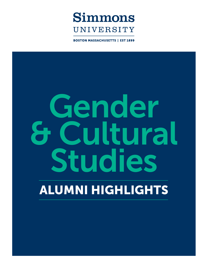

**BOSTON MASSACHUSETTS | EST 1899** 

# Gender & Cultural Studies

# ALUMNI HIGHLIGHTS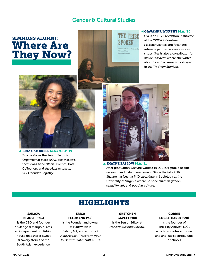### Gender & Cultural Studies

# SIMMONS ALUMNI: Where Are They Now?



### GIAVANNA WORTHY M.A. '20

Gia is an HIV Prevention Instructor at the YWCA in Western Massachusettes and facilitates intimate partner violence workshops. She is also a contributor for Inside Survivor, where she writes about how Blackness is portrayed in the TV show *Survivor*.



### BRIA GAMBRELL M.A./M.P.P '19 Bria works as the Senior Feminist Organizer at Mass NOW. Her Master's thesis was titled "Racial Politics, Data Collection, and the Massachusetts Sex Offender Registry"



### SHAYNE ZASLOW M.A. '11

After graduation, Shayne worked in LGBTQ+ public health research and data management. Since the fall of '16, Shayne has been a PhD candidate in Sociology at the University of Virginia where he specializes in gender, sexuality, art, and popular culture.

# HIGHLIGHTS

### SAILAJA N. JOSHI ('13)

is the CEO and founder of Mango & MarigoldPress, an independent publishing house that shares sweet & savory stories of the South Asian experience.

ERICA FELDMANN ('12) is the Founder and owner of Hauswitch in

Salem, MA, and author of *HausMagick: Transform your House with Witchcraft* (2019).

**GRETCHEN** GAVETT ('08) is the Senior Editor at *Harvard Business Review*.

### **CORRIE** LOCKE-HARDY ('20)

is the founder of The Tiny Activist, LLC., which promotes anti-bias and anti-racist curriculums in schools.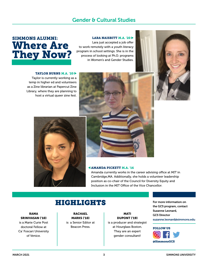### Gender & Cultural Studies

# SIMMONS ALUMNI: Where Are They Now?

### LARA NAISBITT M.A. '20

Lara just accepted a job offer to work remotely with a youth literacy program in school settings. She is in the process of looking at Ph.D. programs in Women's and Gender Studies.

### TAYLOR BURNS M.A. '20

Taylor is currently working as a temp in higher ed and volunteers as a Zine librarian at Papercut Zine Library, where they are planning to host a virtual queer zine fest.



### AMANDA PICKETT M.A. '16

Amanda currently works in the career advising office at MIT in Cambridge,MA. Additionally, she holds a volunteer leadership position as co-chair of the Council for Diversity Equity and Inclusion in the MIT Office of the Vice Chancellor.

## HIGHLIGHTS

RAMA SRINIVASAN ('10)

is a Marie Curie Post doctoral Fellow at Ca' Foscari University of Venice.

**RACHAEL** MARKS ('10) is a Senior Editor at Beacon Press.

MATI DUPONT ('19) is a producer and strategist at Hourglass Boston. They are an expert gender consultant!

For more information on the GCS program, contact Suzanne Leonard, GCS Director suzanne.leonard@simmons.edu